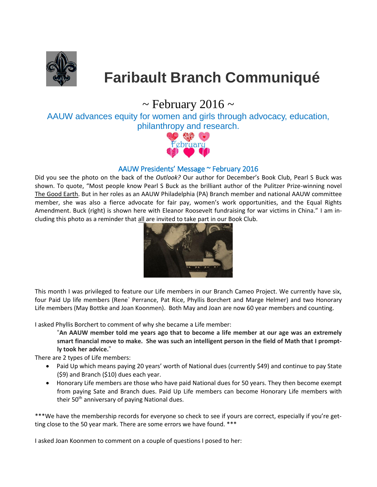

# **Faribault Branch Communiqué**

# $\sim$  February 2016  $\sim$

AAUW advances equity for women and girls through advocacy, education, philanthropy and research.



## AAUW Presidents' Message ~ February 2016

Did you see the photo on the back of the *Outlook?* Our author for December's Book Club, Pearl S Buck was shown. To quote, "Most people know Pearl S Buck as the brilliant author of the Pulitzer Prize-winning novel The Good Earth. But in her roles as an AAUW Philadelphia (PA) Branch member and national AAUW committee member, she was also a fierce advocate for fair pay, women's work opportunities, and the Equal Rights Amendment. Buck (right) is shown here with Eleanor Roosevelt fundraising for war victims in China." I am including this photo as a reminder that all are invited to take part in our Book Club.



This month I was privileged to feature our Life members in our Branch Cameo Project. We currently have six, four Paid Up life members (Rene` Perrance, Pat Rice, Phyllis Borchert and Marge Helmer) and two Honorary Life members (May Bottke and Joan Koonmen). Both May and Joan are now 60 year members and counting.

I asked Phyllis Borchert to comment of why she became a Life member:

"**An AAUW member told me years ago that to become a life member at our age was an extremely smart financial move to make. She was such an intelligent person in the field of Math that I promptly took her advice.**"

There are 2 types of Life members:

- Paid Up which means paying 20 years' worth of National dues (currently \$49) and continue to pay State (\$9) and Branch (\$10) dues each year.
- Honorary Life members are those who have paid National dues for 50 years. They then become exempt from paying Sate and Branch dues. Paid Up Life members can become Honorary Life members with their 50<sup>th</sup> anniversary of paying National dues.

\*\*\*We have the membership records for everyone so check to see if yours are correct, especially if you're getting close to the 50 year mark. There are some errors we have found. \*\*\*

I asked Joan Koonmen to comment on a couple of questions I posed to her: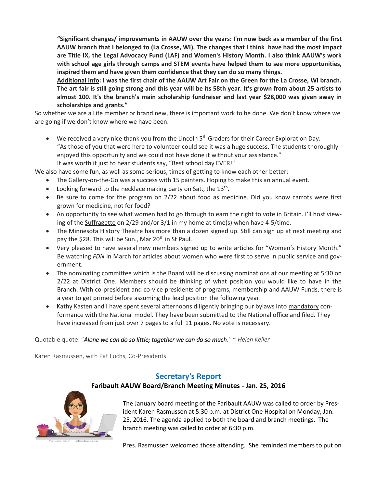**"Significant changes/ improvements in AAUW over the years: I'm now back as a member of the first AAUW branch that I belonged to (La Crosse, WI). The changes that I think have had the most impact are Title IX, the Legal Advocacy Fund (LAF) and Women's History Month. I also think AAUW's work with school age girls through camps and STEM events have helped them to see more opportunities, inspired them and have given them confidence that they can do so many things.**

**Additional info: I was the first chair of the AAUW Art Fair on the Green for the La Crosse, WI branch. The art fair is still going strong and this year will be its 58th year. It's grown from about 25 artists to almost 100. It's the branch's main scholarship fundraiser and last year \$28,000 was given away in scholarships and grants."**

So whether we are a Life member or brand new, there is important work to be done. We don't know where we are going if we don't know where we have been.

• We received a very nice thank you from the Lincoln 5<sup>th</sup> Graders for their Career Exploration Day. "As those of you that were here to volunteer could see it was a huge success. The students thoroughly enjoyed this opportunity and we could not have done it without your assistance." It was worth it just to hear students say, "Best school day EVER!"

We also have some fun, as well as some serious, times of getting to know each other better:

- The Gallery-on-the-Go was a success with 15 painters. Hoping to make this an annual event.
- $\bullet$  Looking forward to the necklace making party on Sat., the 13<sup>th</sup>.
- Be sure to come for the program on 2/22 about food as medicine. Did you know carrots were first grown for medicine, not for food?
- An opportunity to see what women had to go through to earn the right to vote in Britain. I'll host viewing of the Suffragette on 2/29 and/or 3/1 in my home at time(s) when have 4-5/time.
- The Minnesota History Theatre has more than a dozen signed up. Still can sign up at next meeting and pay the \$28. This will be Sun., Mar 20<sup>th</sup> in St Paul.
- Very pleased to have several new members signed up to write articles for "Women's History Month." Be watching *FDN* in March for articles about women who were first to serve in public service and government.
- The nominating committee which is the Board will be discussing nominations at our meeting at 5:30 on 2/22 at District One. Members should be thinking of what position you would like to have in the Branch. With co-president and co-vice presidents of programs, membership and AAUW Funds, there is a year to get primed before assuming the lead position the following year.
- Kathy Kasten and I have spent several afternoons diligently bringing our bylaws into mandatory conformance with the National model. They have been submitted to the National office and filed. They have increased from just over 7 pages to a full 11 pages. No vote is necessary.

Quotable quote: "*Alone we can do so little; together we can do so much." ~ Helen Keller*

Karen Rasmussen, with Pat Fuchs, Co-Presidents

## **Secretary's Report**

**Faribault AAUW Board/Branch Meeting Minutes - Jan. 25, 2016**



The January board meeting of the Faribault AAUW was called to order by President Karen Rasmussen at 5:30 p.m. at District One Hospital on Monday, Jan. 25, 2016. The agenda applied to both the board and branch meetings. The branch meeting was called to order at 6:30 p.m.

Pres. Rasmussen welcomed those attending. She reminded members to put on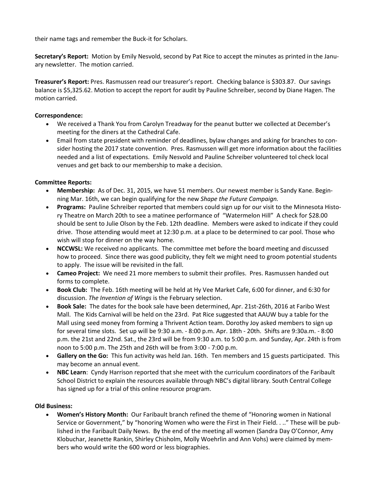their name tags and remember the Buck-it for Scholars.

**Secretary's Report:** Motion by Emily Nesvold, second by Pat Rice to accept the minutes as printed in the January newsletter. The motion carried.

**Treasurer's Report:** Pres. Rasmussen read our treasurer's report. Checking balance is \$303.87. Our savings balance is \$5,325.62. Motion to accept the report for audit by Pauline Schreiber, second by Diane Hagen. The motion carried.

#### **Correspondence:**

- We received a Thank You from Carolyn Treadway for the peanut butter we collected at December's meeting for the diners at the Cathedral Cafe.
- Email from state president with reminder of deadlines, bylaw changes and asking for branches to consider hosting the 2017 state convention. Pres. Rasmussen will get more information about the facilities needed and a list of expectations. Emily Nesvold and Pauline Schreiber volunteered tol check local venues and get back to our membership to make a decision.

#### **Committee Reports:**

- **Membership:** As of Dec. 31, 2015, we have 51 members. Our newest member is Sandy Kane. Beginning Mar. 16th, we can begin qualifying for the new *Shape the Future Campaign.*
- **Programs:** Pauline Schreiber reported that members could sign up for our visit to the Minnesota History Theatre on March 20th to see a matinee performance of "Watermelon Hill" A check for \$28.00 should be sent to Julie Olson by the Feb. 12th deadline. Members were asked to indicate if they could drive. Those attending would meet at 12:30 p.m. at a place to be determined to car pool. Those who wish will stop for dinner on the way home.
- **NCCWSL:** We received no applicants. The committee met before the board meeting and discussed how to proceed. Since there was good publicity, they felt we might need to groom potential students to apply. The issue will be revisited in the fall.
- **Cameo Project:** We need 21 more members to submit their profiles. Pres. Rasmussen handed out forms to complete.
- **Book Club:** The Feb. 16th meeting will be held at Hy Vee Market Cafe, 6:00 for dinner, and 6:30 for discussion. *The Invention of Wings* is the February selection.
- **Book Sale:** The dates for the book sale have been determined, Apr. 21st-26th, 2016 at Faribo West Mall. The Kids Carnival will be held on the 23rd. Pat Rice suggested that AAUW buy a table for the Mall using seed money from forming a Thrivent Action team. Dorothy Joy asked members to sign up for several time slots. Set up will be 9:30 a.m. - 8:00 p.m. Apr. 18th - 20th. Shifts are 9:30a.m. - 8:00 p.m. the 21st and 22nd. Sat., the 23rd will be from 9:30 a.m. to 5:00 p.m. and Sunday, Apr. 24th is from noon to 5:00 p.m. The 25th and 26th will be from 3:00 - 7:00 p.m.
- **Gallery on the Go:** This fun activity was held Jan. 16th. Ten members and 15 guests participated. This may become an annual event.
- **NBC Learn**: Cyndy Harrison reported that she meet with the curriculum coordinators of the Faribault School District to explain the resources available through NBC's digital library. South Central College has signed up for a trial of this online resource program.

#### **Old Business:**

 **Women's History Month:** Our Faribault branch refined the theme of "Honoring women in National Service or Government," by "honoring Women who were the First in Their Field. . .." These will be published in the Faribault Daily News. By the end of the meeting all women (Sandra Day O'Connor, Amy Klobuchar, Jeanette Rankin, Shirley Chisholm, Molly Woehrlin and Ann Vohs) were claimed by members who would write the 600 word or less biographies.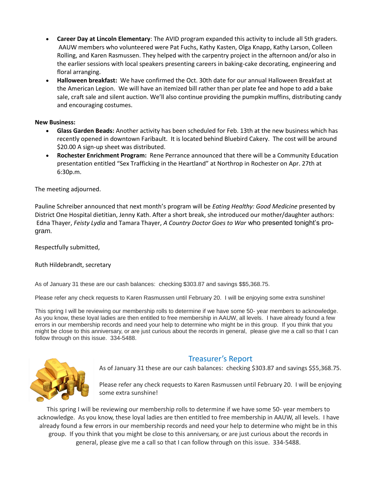- **Career Day at Lincoln Elementary**: The AVID program expanded this activity to include all 5th graders. AAUW members who volunteered were Pat Fuchs, Kathy Kasten, Olga Knapp, Kathy Larson, Colleen Rolling, and Karen Rasmussen. They helped with the carpentry project in the afternoon and/or also in the earlier sessions with local speakers presenting careers in baking-cake decorating, engineering and floral arranging.
- **Halloween breakfast:** We have confirmed the Oct. 30th date for our annual Halloween Breakfast at the American Legion. We will have an itemized bill rather than per plate fee and hope to add a bake sale, craft sale and silent auction. We'll also continue providing the pumpkin muffins, distributing candy and encouraging costumes.

#### **New Business:**

- **Glass Garden Beads:** Another activity has been scheduled for Feb. 13th at the new business which has recently opened in downtown Faribault. It is located behind Bluebird Cakery. The cost will be around \$20.00 A sign-up sheet was distributed.
- **Rochester Enrichment Program:** Rene Perrance announced that there will be a Community Education presentation entitled "Sex Trafficking in the Heartland" at Northrop in Rochester on Apr. 27th at 6:30p.m.

The meeting adjourned.

Pauline Schreiber announced that next month's program will be *Eating Healthy: Good Medicine* presented by District One Hospital dietitian, Jenny Kath. After a short break, she introduced our mother/daughter authors: Edna Thayer, *Feisty Lydia* and Tamara Thayer, *A Country Doctor Goes to War* who presented tonight's program.

Respectfully submitted,

#### Ruth Hildebrandt, secretary

As of January 31 these are our cash balances: checking \$303.87 and savings \$\$5,368.75.

Please refer any check requests to Karen Rasmussen until February 20. I will be enjoying some extra sunshine!

This spring I will be reviewing our membership rolls to determine if we have some 50- year members to acknowledge. As you know, these loyal ladies are then entitled to free membership in AAUW, all levels. I have already found a few errors in our membership records and need your help to determine who might be in this group. If you think that you might be close to this anniversary, or are just curious about the records in general, please give me a call so that I can follow through on this issue. 334-5488.



## Treasurer's Report

As of January 31 these are our cash balances: checking \$303.87 and savings \$\$5,368.75.

Please refer any check requests to Karen Rasmussen until February 20. I will be enjoying some extra sunshine!

This spring I will be reviewing our membership rolls to determine if we have some 50- year members to acknowledge. As you know, these loyal ladies are then entitled to free membership in AAUW, all levels. I have already found a few errors in our membership records and need your help to determine who might be in this group. If you think that you might be close to this anniversary, or are just curious about the records in general, please give me a call so that I can follow through on this issue. 334-5488.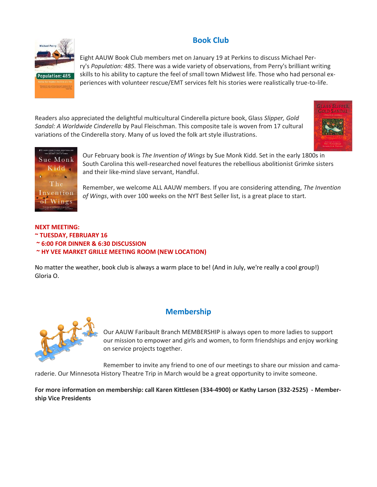# **Book Club**



Eight AAUW Book Club members met on January 19 at Perkins to discuss Michael Perry's *Population: 485.* There was a wide variety of observations, from Perry's brilliant writing skills to his ability to capture the feel of small town Midwest life. Those who had personal experiences with volunteer rescue/EMT services felt his stories were realistically true-to-life.

Readers also appreciated the delightful multicultural Cinderella picture book, Glass *Slipper, Gold Sandal: A Worldwide Cinderella* by Paul Fleischman. This composite tale is woven from 17 cultural variations of the Cinderella story. Many of us loved the folk art style illustrations.





Our February book is *The Invention of Wings* by Sue Monk Kidd. Set in the early 1800s in South Carolina this well-researched novel features the rebellious abolitionist Grimke sisters and their like-mind slave servant, Handful.

Remember, we welcome ALL AAUW members. If you are considering attending, *The Invention of Wings*, with over 100 weeks on the NYT Best Seller list, is a great place to start.

## **NEXT MEETING: ~ TUESDAY, FEBRUARY 16 ~ 6:00 FOR DINNER & 6:30 DISCUSSION**

## **~ HY VEE MARKET GRILLE MEETING ROOM (NEW LOCATION)**

No matter the weather, book club is always a warm place to be! (And in July, we're really a cool group!) Gloria O.



# **Membership**

Our AAUW Faribault Branch MEMBERSHIP is always open to more ladies to support our mission to empower and girls and women, to form friendships and enjoy working on service projects together.

Remember to invite any friend to one of our meetings to share our mission and camaraderie. Our Minnesota History Theatre Trip in March would be a great opportunity to invite someone.

**For more information on membership: call Karen Kittlesen (334-4900) or Kathy Larson (332-2525) - Membership Vice Presidents**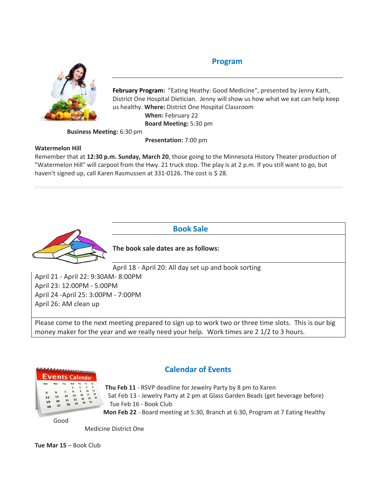# **Program**



**February Program:** "Eating Heathy: Good Medicine", presented by Jenny Kath, District One Hospital Dietician. Jenny will show us how what we eat can help keep us healthy. **Where:** District One Hospital Classroom **When:** February 22 **Board Meeting:** 5:30 pm

**Business Meeting:** 6:30 pm

 **Presentation:** 7:00 pm

#### **Watermelon Hill**

Remember that at **12:30 p.m. Sunday, March 20**, those going to the Minnesota History Theater production of "Watermelon Hill" will carpool from the Hwy. 21 truck stop. The play is at 2 p.m. If you still want to go, but haven't signed up, call Karen Rasmussen at 331-0126. The cost is \$28.



 **Book Sale**

**The book sale dates are as follows:**

April 18 - April 20: All day set up and book sorting

April 21 - April 22: 9:30AM- 8:00PM April 23: 12:00PM - 5:00PM April 24 -April 25: 3:00PM - 7:00PM April 26: AM clean up

Please come to the next meeting prepared to sign up to work two or three time slots. This is our big money maker for the year and we really need your help. Work times are 2 1/2 to 3 hours.



# **Calendar of Events**

**Thu Feb 11** - RSVP deadline for Jewelry Party by 8 pm to Karen Sat Feb 13 - Jewelry Party at 2 pm at Glass Garden Beads (get beverage before) Tue Feb 16 - Book Club **Mon Feb 22** - Board meeting at 5:30, Branch at 6:30, Program at 7 Eating Healthy

Good

Medicine District One

**Tue Mar 15** – Book Club